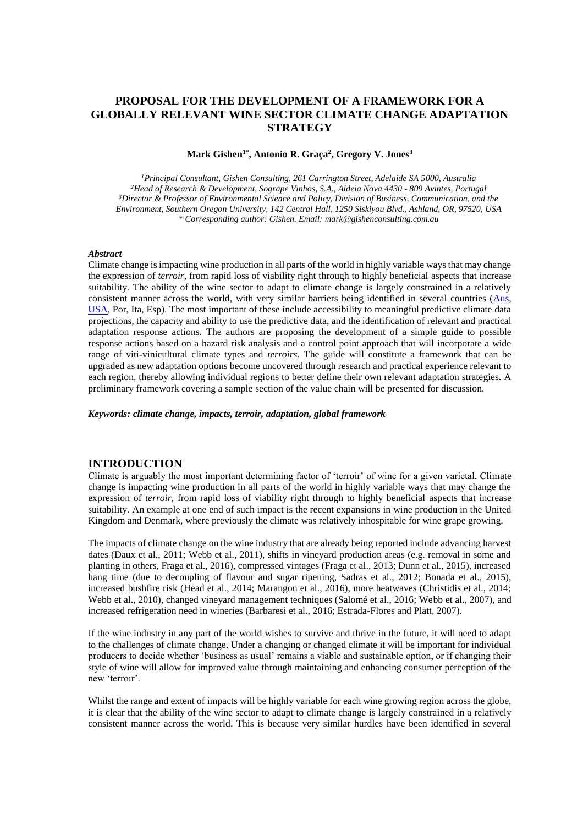# **PROPOSAL FOR THE DEVELOPMENT OF A FRAMEWORK FOR A GLOBALLY RELEVANT WINE SECTOR CLIMATE CHANGE ADAPTATION STRATEGY**

#### **Mark Gishen1\*, Antonio R. Graça<sup>2</sup> , Gregory V. Jones<sup>3</sup>**

*<sup>1</sup>Principal Consultant, Gishen Consulting, 261 Carrington Street, Adelaide SA 5000, Australia <sup>2</sup>Head of Research & Development, Sogrape Vinhos, S.A., Aldeia Nova 4430 - 809 Avintes, Portugal <sup>3</sup>Director & Professor of Environmental Science and Policy, Division of Business, Communication, and the Environment, Southern Oregon University, 142 Central Hall, 1250 Siskiyou Blvd., Ashland, OR, 97520, USA \* Corresponding author: Gishen. Email: mark@gishenconsulting.com.au*

#### *Abstract*

Climate change is impacting wine production in all parts of the world in highly variable ways that may change the expression of *terroir*, from rapid loss of viability right through to highly beneficial aspects that increase suitability. The ability of the wine sector to adapt to climate change is largely constrained in a relatively consistent manner across the world, with very similar barriers being identified in several countries [\(Aus,](http://research.wineaustralia.com/research-development/applying-for-funding/) [USA,](http://www.academicwino.com/2015/10/climate-change-california-wine-somm-journal.html/) Por, Ita, Esp). The most important of these include accessibility to meaningful predictive climate data projections, the capacity and ability to use the predictive data, and the identification of relevant and practical adaptation response actions. The authors are proposing the development of a simple guide to possible response actions based on a hazard risk analysis and a control point approach that will incorporate a wide range of viti-vinicultural climate types and *terroirs*. The guide will constitute a framework that can be upgraded as new adaptation options become uncovered through research and practical experience relevant to each region, thereby allowing individual regions to better define their own relevant adaptation strategies. A preliminary framework covering a sample section of the value chain will be presented for discussion.

*Keywords: climate change, impacts, terroir, adaptation, global framework*

#### **INTRODUCTION**

Climate is arguably the most important determining factor of 'terroir' of wine for a given varietal. Climate change is impacting wine production in all parts of the world in highly variable ways that may change the expression of *terroir*, from rapid loss of viability right through to highly beneficial aspects that increase suitability. An example at one end of such impact is the recent expansions in wine production in the United Kingdom and Denmark, where previously the climate was relatively inhospitable for wine grape growing.

The impacts of climate change on the wine industry that are already being reported include advancing harvest dates (Daux et al., 2011; Webb et al., 2011), shifts in vineyard production areas (e.g. removal in some and planting in others, Fraga et al., 2016), compressed vintages (Fraga et al., 2013; Dunn et al., 2015), increased hang time (due to decoupling of flavour and sugar ripening, Sadras et al., 2012; Bonada et al., 2015), increased bushfire risk (Head et al., 2014; Marangon et al., 2016), more heatwaves (Christidis et al., 2014; Webb et al., 2010), changed vineyard management techniques (Salomé et al., 2016; Webb et al., 2007), and increased refrigeration need in wineries (Barbaresi et al., 2016; Estrada-Flores and Platt, 2007).

If the wine industry in any part of the world wishes to survive and thrive in the future, it will need to adapt to the challenges of climate change. Under a changing or changed climate it will be important for individual producers to decide whether 'business as usual' remains a viable and sustainable option, or if changing their style of wine will allow for improved value through maintaining and enhancing consumer perception of the new 'terroir'.

Whilst the range and extent of impacts will be highly variable for each wine growing region across the globe, it is clear that the ability of the wine sector to adapt to climate change is largely constrained in a relatively consistent manner across the world. This is because very similar hurdles have been identified in several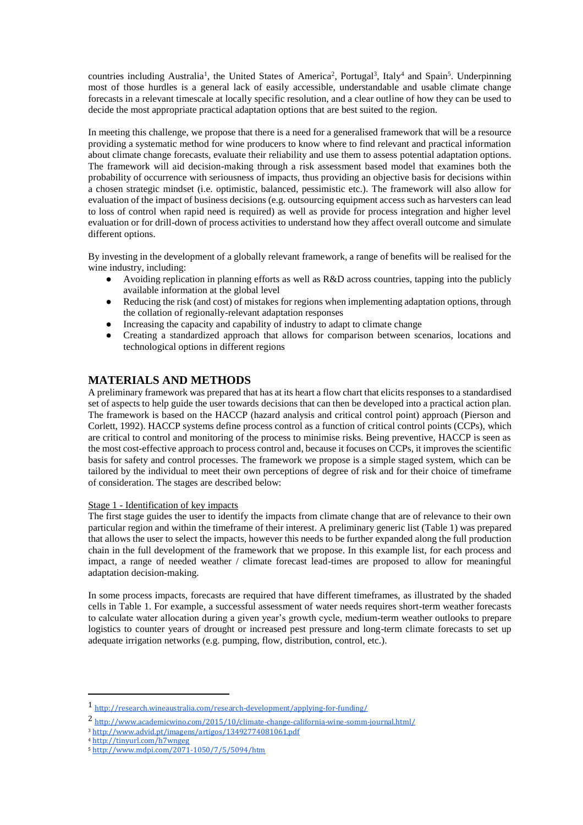countries including Australia<sup>1</sup>, the United States of America<sup>2</sup>, Portugal<sup>3</sup>, Italy<sup>4</sup> and Spain<sup>5</sup>. Underpinning most of those hurdles is a general lack of easily accessible, understandable and usable climate change forecasts in a relevant timescale at locally specific resolution, and a clear outline of how they can be used to decide the most appropriate practical adaptation options that are best suited to the region.

In meeting this challenge, we propose that there is a need for a generalised framework that will be a resource providing a systematic method for wine producers to know where to find relevant and practical information about climate change forecasts, evaluate their reliability and use them to assess potential adaptation options. The framework will aid decision-making through a risk assessment based model that examines both the probability of occurrence with seriousness of impacts, thus providing an objective basis for decisions within a chosen strategic mindset (i.e. optimistic, balanced, pessimistic etc.). The framework will also allow for evaluation of the impact of business decisions (e.g. outsourcing equipment access such as harvesters can lead to loss of control when rapid need is required) as well as provide for process integration and higher level evaluation or for drill-down of process activities to understand how they affect overall outcome and simulate different options.

By investing in the development of a globally relevant framework, a range of benefits will be realised for the wine industry, including:

- Avoiding replication in planning efforts as well as R&D across countries, tapping into the publicly available information at the global level
- Reducing the risk (and cost) of mistakes for regions when implementing adaptation options, through the collation of regionally-relevant adaptation responses
- Increasing the capacity and capability of industry to adapt to climate change
- Creating a standardized approach that allows for comparison between scenarios, locations and technological options in different regions

# **MATERIALS AND METHODS**

A preliminary framework was prepared that has at its heart a flow chart that elicits responses to a standardised set of aspects to help guide the user towards decisions that can then be developed into a practical action plan. The framework is based on the HACCP (hazard analysis and critical control point) approach (Pierson and Corlett, 1992). HACCP systems define process control as a function of critical control points (CCPs), which are critical to control and monitoring of the process to minimise risks. Being preventive, HACCP is seen as the most cost-effective approach to process control and, because it focuses on CCPs, it improves the scientific basis for safety and control processes. The framework we propose is a simple staged system, which can be tailored by the individual to meet their own perceptions of degree of risk and for their choice of timeframe of consideration. The stages are described below:

#### Stage 1 - Identification of key impacts

The first stage guides the user to identify the impacts from climate change that are of relevance to their own particular region and within the timeframe of their interest. A preliminary generic list (Table 1) was prepared that allows the user to select the impacts, however this needs to be further expanded along the full production chain in the full development of the framework that we propose. In this example list, for each process and impact, a range of needed weather / climate forecast lead-times are proposed to allow for meaningful adaptation decision-making.

In some process impacts, forecasts are required that have different timeframes, as illustrated by the shaded cells in Table 1. For example, a successful assessment of water needs requires short-term weather forecasts to calculate water allocation during a given year's growth cycle, medium-term weather outlooks to prepare logistics to counter years of drought or increased pest pressure and long-term climate forecasts to set up adequate irrigation networks (e.g. pumping, flow, distribution, control, etc.).

 $\overline{a}$ 

<sup>1</sup> <http://research.wineaustralia.com/research-development/applying-for-funding/>

<sup>2</sup> <http://www.academicwino.com/2015/10/climate-change-california-wine-somm-journal.html/>

<sup>3</sup> <http://www.advid.pt/imagens/artigos/13492774081061.pdf>

<sup>4</sup> <http://tinyurl.com/h7wngeg>

<sup>5</sup> <http://www.mdpi.com/2071-1050/7/5/5094/htm>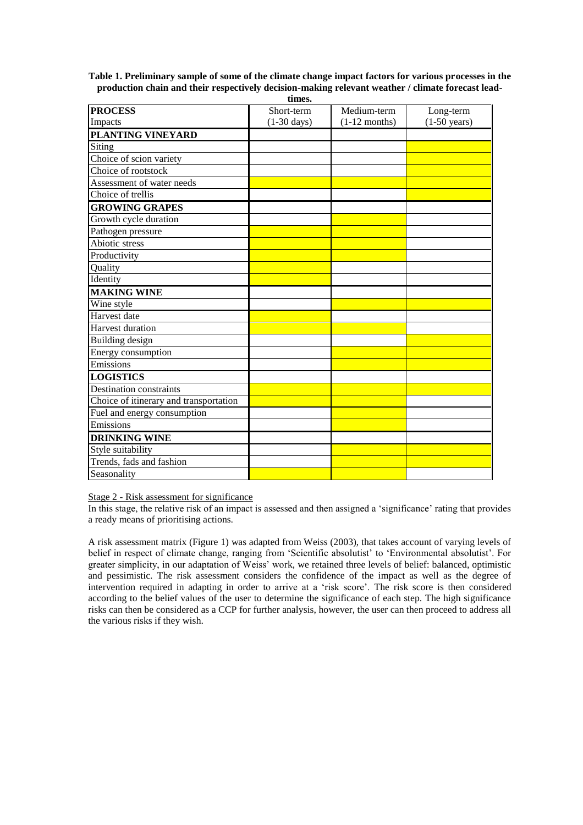**Table 1. Preliminary sample of some of the climate change impact factors for various processes in the production chain and their respectively decision-making relevant weather / climate forecast leadtimes.**

|                                        | ишсэ.                 |                 |                        |
|----------------------------------------|-----------------------|-----------------|------------------------|
| <b>PROCESS</b>                         | Short-term            | Medium-term     | Long-term              |
| Impacts                                | $(1-30 \text{ days})$ | $(1-12$ months) | $(1-50 \text{ years})$ |
| PLANTING VINEYARD                      |                       |                 |                        |
| Siting                                 |                       |                 |                        |
| Choice of scion variety                |                       |                 |                        |
| Choice of rootstock                    |                       |                 |                        |
| Assessment of water needs              |                       |                 |                        |
| Choice of trellis                      |                       |                 |                        |
| <b>GROWING GRAPES</b>                  |                       |                 |                        |
| Growth cycle duration                  |                       |                 |                        |
| Pathogen pressure                      |                       |                 |                        |
| Abiotic stress                         |                       |                 |                        |
| Productivity                           |                       |                 |                        |
| Quality                                |                       |                 |                        |
| Identity                               |                       |                 |                        |
| <b>MAKING WINE</b>                     |                       |                 |                        |
| Wine style                             |                       |                 |                        |
| Harvest date                           |                       |                 |                        |
| Harvest duration                       |                       |                 |                        |
| Building design                        |                       |                 |                        |
| Energy consumption                     |                       |                 |                        |
| Emissions                              |                       |                 |                        |
| <b>LOGISTICS</b>                       |                       |                 |                        |
| Destination constraints                |                       |                 |                        |
| Choice of itinerary and transportation |                       |                 |                        |
| Fuel and energy consumption            |                       |                 |                        |
| Emissions                              |                       |                 |                        |
| <b>DRINKING WINE</b>                   |                       |                 |                        |
| Style suitability                      |                       |                 |                        |
| Trends, fads and fashion               |                       |                 |                        |
| Seasonality                            |                       |                 |                        |

Stage 2 - Risk assessment for significance

In this stage, the relative risk of an impact is assessed and then assigned a 'significance' rating that provides a ready means of prioritising actions.

A risk assessment matrix (Figure 1) was adapted from Weiss (2003), that takes account of varying levels of belief in respect of climate change, ranging from 'Scientific absolutist' to 'Environmental absolutist'. For greater simplicity, in our adaptation of Weiss' work, we retained three levels of belief: balanced, optimistic and pessimistic. The risk assessment considers the confidence of the impact as well as the degree of intervention required in adapting in order to arrive at a 'risk score'. The risk score is then considered according to the belief values of the user to determine the significance of each step. The high significance risks can then be considered as a CCP for further analysis, however, the user can then proceed to address all the various risks if they wish.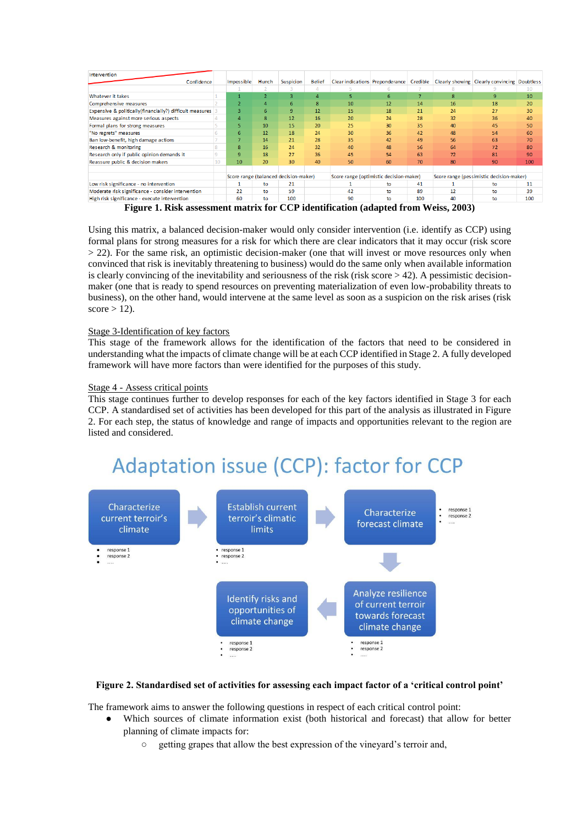|                                                                        | Hunch | Suspicion       | <b>Belief</b> |                                       |    |     |                                         |                                           |                                                                                                                                          |
|------------------------------------------------------------------------|-------|-----------------|---------------|---------------------------------------|----|-----|-----------------------------------------|-------------------------------------------|------------------------------------------------------------------------------------------------------------------------------------------|
|                                                                        |       |                 |               |                                       |    |     |                                         |                                           | 10                                                                                                                                       |
|                                                                        |       |                 | $\Delta$      | 5                                     | 6  |     | 8                                       | ٩                                         | 10                                                                                                                                       |
|                                                                        |       | 6.              | R             | 10                                    | 12 | 14  | 16                                      | 18                                        | 20                                                                                                                                       |
|                                                                        | 6     | 9               | 12            | 15                                    | 18 | 21  | 24                                      | 27                                        | 30                                                                                                                                       |
|                                                                        | 8     | 12 <sup>1</sup> | 16            | 20                                    | 24 | 28  | 32                                      | 36                                        | 40                                                                                                                                       |
|                                                                        | 10    | 15              | 20            | 25                                    | 30 | 35  | 40                                      | 45                                        | 50                                                                                                                                       |
| 6                                                                      | 12    | 18              | 24            | 30                                    | 36 | 42  | 48                                      | 54                                        | 60                                                                                                                                       |
|                                                                        | 14    | 21              | 28            | 35                                    | 42 | 49  | 56                                      | 63                                        | 70                                                                                                                                       |
| 8                                                                      | 16    | 24              | 32            | 40                                    | 48 | 56  | 64                                      | 72                                        | 80                                                                                                                                       |
| 9                                                                      | 18    | 27              | 36            | 45                                    | 54 | 63  | 72                                      | 81                                        | 90                                                                                                                                       |
| 10                                                                     | 20    | 30              | 40            | 50                                    | 60 | 70  | 80                                      | 90                                        | 100                                                                                                                                      |
|                                                                        |       |                 |               |                                       |    |     |                                         |                                           |                                                                                                                                          |
|                                                                        |       |                 |               |                                       |    |     |                                         |                                           |                                                                                                                                          |
|                                                                        | to    | 21              |               |                                       | to | 41  |                                         | to                                        | 11                                                                                                                                       |
| 22                                                                     | to    | 59              |               | 42                                    | to | 89  | 12                                      | to                                        | 39                                                                                                                                       |
| 60                                                                     | to    | 100             |               | 90                                    | to | 100 | 40                                      | to                                        | 100                                                                                                                                      |
| Confidence<br>Expensive & politically(financially?) difficult measures |       | Impossible      |               | Score range (balanced decision-maker) |    |     | Score range (optimistic decision-maker) | יודד מרג בין ישיג בירדלות מיני בין בירדו- | Clear indications Preponderance Credible Clearly showing Clearly convincing Doubtless<br>Score range (pessimistic decision-maker)<br>AAA |

**Figure 1. Risk assessment matrix for CCP identification (adapted from Weiss, 2003)**

Using this matrix, a balanced decision-maker would only consider intervention (i.e. identify as CCP) using formal plans for strong measures for a risk for which there are clear indicators that it may occur (risk score  $> 22$ ). For the same risk, an optimistic decision-maker (one that will invest or move resources only when convinced that risk is inevitably threatening to business) would do the same only when available information is clearly convincing of the inevitability and seriousness of the risk (risk score  $> 42$ ). A pessimistic decisionmaker (one that is ready to spend resources on preventing materialization of even low-probability threats to business), on the other hand, would intervene at the same level as soon as a suspicion on the risk arises (risk  $score > 12$ ).

#### Stage 3-Identification of key factors

This stage of the framework allows for the identification of the factors that need to be considered in understanding what the impacts of climate change will be at each CCP identified in Stage 2. A fully developed framework will have more factors than were identified for the purposes of this study.

#### Stage 4 - Assess critical points

This stage continues further to develop responses for each of the key factors identified in Stage 3 for each CCP. A standardised set of activities has been developed for this part of the analysis as illustrated in Figure 2. For each step, the status of knowledge and range of impacts and opportunities relevant to the region are listed and considered.

# Adaptation issue (CCP): factor for CCP



#### **Figure 2. Standardised set of activities for assessing each impact factor of a 'critical control point'**

The framework aims to answer the following questions in respect of each critical control point:

- Which sources of climate information exist (both historical and forecast) that allow for better planning of climate impacts for:
	- getting grapes that allow the best expression of the vineyard's terroir and,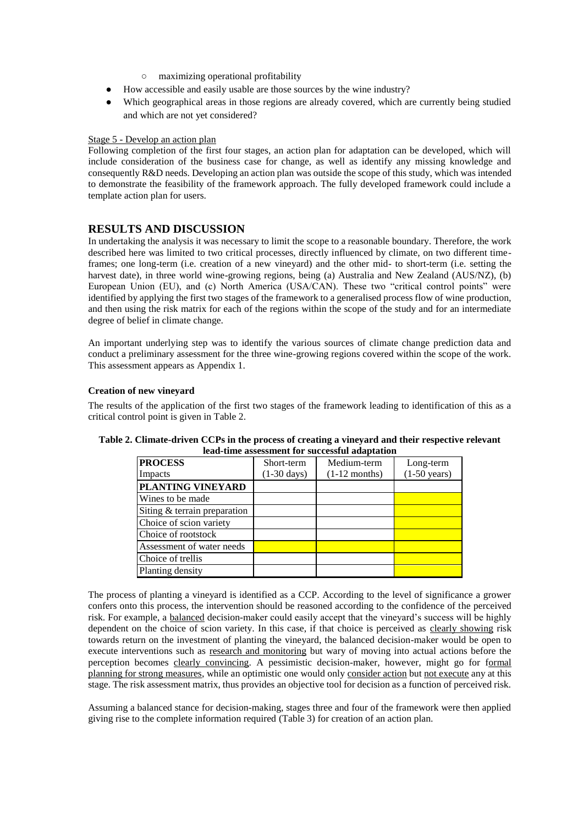- maximizing operational profitability
- How accessible and easily usable are those sources by the wine industry?
- Which geographical areas in those regions are already covered, which are currently being studied and which are not yet considered?

#### Stage 5 - Develop an action plan

Following completion of the first four stages, an action plan for adaptation can be developed, which will include consideration of the business case for change, as well as identify any missing knowledge and consequently R&D needs. Developing an action plan was outside the scope of this study, which was intended to demonstrate the feasibility of the framework approach. The fully developed framework could include a template action plan for users.

### **RESULTS AND DISCUSSION**

In undertaking the analysis it was necessary to limit the scope to a reasonable boundary. Therefore, the work described here was limited to two critical processes, directly influenced by climate, on two different timeframes; one long-term (i.e. creation of a new vineyard) and the other mid- to short-term (i.e. setting the harvest date), in three world wine-growing regions, being (a) Australia and New Zealand (AUS/NZ), (b) European Union (EU), and (c) North America (USA/CAN). These two "critical control points" were identified by applying the first two stages of the framework to a generalised process flow of wine production, and then using the risk matrix for each of the regions within the scope of the study and for an intermediate degree of belief in climate change.

An important underlying step was to identify the various sources of climate change prediction data and conduct a preliminary assessment for the three wine-growing regions covered within the scope of the work. This assessment appears as Appendix 1.

#### **Creation of new vineyard**

The results of the application of the first two stages of the framework leading to identification of this as a critical control point is given in Table 2.

| <b>PROCESS</b>               | Short-term            | Medium-term     | Long-term              |
|------------------------------|-----------------------|-----------------|------------------------|
| Impacts                      | $(1-30 \text{ days})$ | $(1-12$ months) | $(1-50 \text{ years})$ |
| PLANTING VINEYARD            |                       |                 |                        |
| Wines to be made             |                       |                 |                        |
| Siting & terrain preparation |                       |                 |                        |
| Choice of scion variety      |                       |                 |                        |
| Choice of rootstock          |                       |                 |                        |
| Assessment of water needs    |                       |                 |                        |
| Choice of trellis            |                       |                 |                        |
| Planting density             |                       |                 |                        |

#### **Table 2. Climate-driven CCPs in the process of creating a vineyard and their respective relevant lead-time assessment for successful adaptation**

The process of planting a vineyard is identified as a CCP. According to the level of significance a grower confers onto this process, the intervention should be reasoned according to the confidence of the perceived risk. For example, a balanced decision-maker could easily accept that the vineyard's success will be highly dependent on the choice of scion variety. In this case, if that choice is perceived as clearly showing risk towards return on the investment of planting the vineyard, the balanced decision-maker would be open to execute interventions such as research and monitoring but wary of moving into actual actions before the perception becomes clearly convincing. A pessimistic decision-maker, however, might go for formal planning for strong measures, while an optimistic one would only consider action but not execute any at this stage. The risk assessment matrix, thus provides an objective tool for decision as a function of perceived risk.

Assuming a balanced stance for decision-making, stages three and four of the framework were then applied giving rise to the complete information required (Table 3) for creation of an action plan.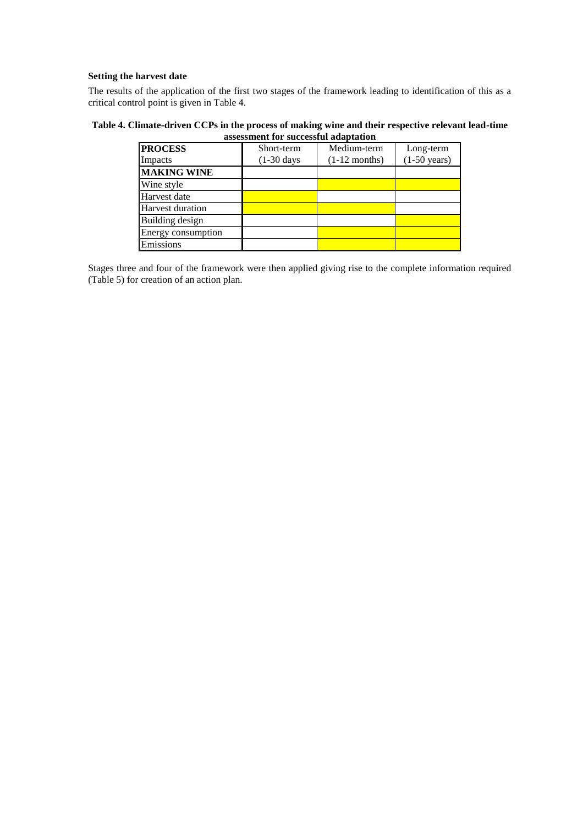#### **Setting the harvest date**

The results of the application of the first two stages of the framework leading to identification of this as a critical control point is given in Table 4.

#### **Table 4. Climate-driven CCPs in the process of making wine and their respective relevant lead-time assessment for successful adaptation**

| <b>PROCESS</b>          | Short-term            | Medium-term     | Long-term              |
|-------------------------|-----------------------|-----------------|------------------------|
| Impacts                 | $(1-30 \text{ days})$ | $(1-12$ months) | $(1-50 \text{ years})$ |
| <b>MAKING WINE</b>      |                       |                 |                        |
| Wine style              |                       |                 |                        |
| Harvest date            |                       |                 |                        |
| <b>Harvest duration</b> |                       |                 |                        |
| Building design         |                       |                 |                        |
| Energy consumption      |                       |                 |                        |
| Emissions               |                       |                 |                        |

Stages three and four of the framework were then applied giving rise to the complete information required (Table 5) for creation of an action plan.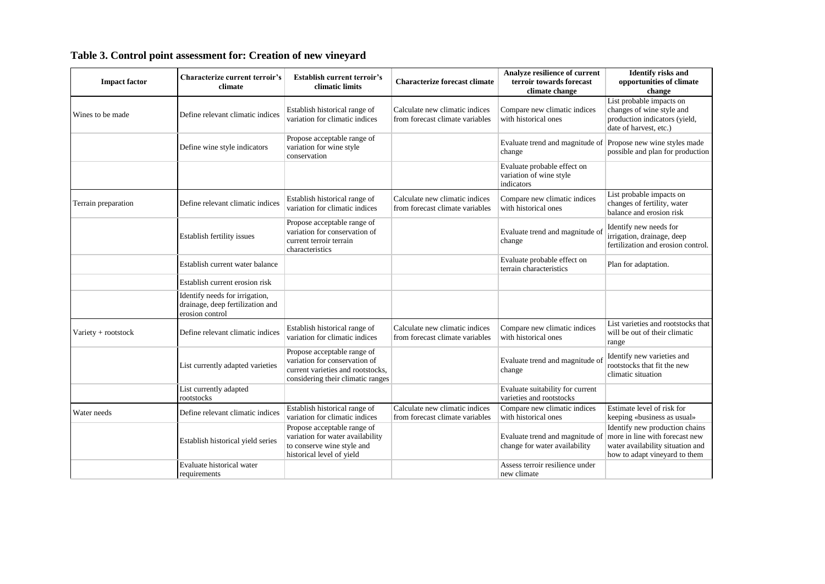| <b>Impact factor</b> | Characterize current terroir's<br>climate                                             | <b>Establish current terroir's</b><br>climatic limits                                                                                  | <b>Characterize forecast climate</b>                              | Analyze resilience of current<br>terroir towards forecast<br>climate change | <b>Identify risks and</b><br>opportunities of climate<br>change                                                                       |
|----------------------|---------------------------------------------------------------------------------------|----------------------------------------------------------------------------------------------------------------------------------------|-------------------------------------------------------------------|-----------------------------------------------------------------------------|---------------------------------------------------------------------------------------------------------------------------------------|
| Wines to be made     | Define relevant climatic indices                                                      | Establish historical range of<br>variation for climatic indices                                                                        | Calculate new climatic indices<br>from forecast climate variables | Compare new climatic indices<br>with historical ones                        | List probable impacts on<br>changes of wine style and<br>production indicators (yield,<br>date of harvest, etc.)                      |
|                      | Define wine style indicators                                                          | Propose acceptable range of<br>variation for wine style<br>conservation                                                                |                                                                   | Evaluate trend and magnitude of Propose new wine styles made<br>change      | possible and plan for production                                                                                                      |
|                      |                                                                                       |                                                                                                                                        |                                                                   | Evaluate probable effect on<br>variation of wine style<br>indicators        |                                                                                                                                       |
| Terrain preparation  | Define relevant climatic indices                                                      | Establish historical range of<br>variation for climatic indices                                                                        | Calculate new climatic indices<br>from forecast climate variables | Compare new climatic indices<br>with historical ones                        | List probable impacts on<br>changes of fertility, water<br>balance and erosion risk                                                   |
|                      | Establish fertility issues                                                            | Propose acceptable range of<br>variation for conservation of<br>current terroir terrain<br>characteristics                             |                                                                   | Evaluate trend and magnitude of<br>change                                   | Identify new needs for<br>irrigation, drainage, deep<br>fertilization and erosion control.                                            |
|                      | Establish current water balance                                                       |                                                                                                                                        |                                                                   | Evaluate probable effect on<br>terrain characteristics                      | Plan for adaptation.                                                                                                                  |
|                      | Establish current erosion risk                                                        |                                                                                                                                        |                                                                   |                                                                             |                                                                                                                                       |
|                      | Identify needs for irrigation,<br>drainage, deep fertilization and<br>erosion control |                                                                                                                                        |                                                                   |                                                                             |                                                                                                                                       |
| Variety + rootstock  | Define relevant climatic indices                                                      | Establish historical range of<br>variation for climatic indices                                                                        | Calculate new climatic indices<br>from forecast climate variables | Compare new climatic indices<br>with historical ones                        | List varieties and rootstocks that<br>will be out of their climatic<br>range                                                          |
|                      | List currently adapted varieties                                                      | Propose acceptable range of<br>variation for conservation of<br>current varieties and rootstocks,<br>considering their climatic ranges |                                                                   | Evaluate trend and magnitude of<br>change                                   | Identify new varieties and<br>rootstocks that fit the new<br>climatic situation                                                       |
|                      | List currently adapted<br>rootstocks                                                  |                                                                                                                                        |                                                                   | Evaluate suitability for current<br>varieties and rootstocks                |                                                                                                                                       |
| Water needs          | Define relevant climatic indices                                                      | Establish historical range of<br>variation for climatic indices                                                                        | Calculate new climatic indices<br>from forecast climate variables | Compare new climatic indices<br>with historical ones                        | Estimate level of risk for<br>keeping «business as usual»                                                                             |
|                      | Establish historical yield series                                                     | Propose acceptable range of<br>variation for water availability<br>to conserve wine style and<br>historical level of yield             |                                                                   | Evaluate trend and magnitude of<br>change for water availability            | Identify new production chains<br>more in line with forecast new<br>water availability situation and<br>how to adapt vineyard to them |
|                      | Evaluate historical water<br>requirements                                             |                                                                                                                                        |                                                                   | Assess terroir resilience under<br>new climate                              |                                                                                                                                       |

# **Table 3. Control point assessment for: Creation of new vineyard**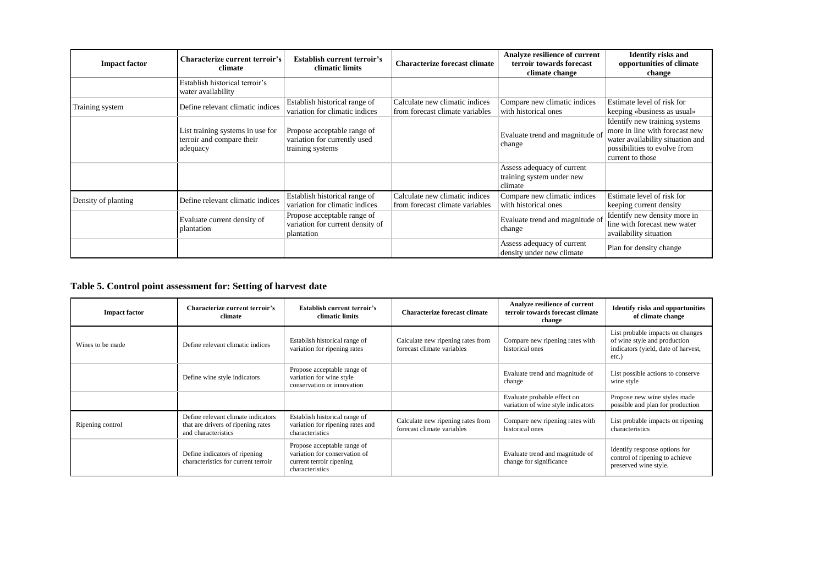| <b>Impact factor</b> | Characterize current terroir's<br>climate                                 | <b>Establish current terroir's</b><br>climatic limits                           | <b>Characterize forecast climate</b>                              | Analyze resilience of current<br>terroir towards forecast<br>climate change | <b>Identify risks and</b><br>opportunities of climate<br>change                                                                                         |
|----------------------|---------------------------------------------------------------------------|---------------------------------------------------------------------------------|-------------------------------------------------------------------|-----------------------------------------------------------------------------|---------------------------------------------------------------------------------------------------------------------------------------------------------|
|                      | Establish historical terroir's<br>water availability                      |                                                                                 |                                                                   |                                                                             |                                                                                                                                                         |
| Training system      | Define relevant climatic indices                                          | Establish historical range of<br>variation for climatic indices                 | Calculate new climatic indices<br>from forecast climate variables | Compare new climatic indices<br>with historical ones                        | Estimate level of risk for<br>keeping «business as usual»                                                                                               |
|                      | List training systems in use for<br>terroir and compare their<br>adequacy | Propose acceptable range of<br>variation for currently used<br>training systems |                                                                   | Evaluate trend and magnitude of<br>change                                   | Identify new training systems<br>more in line with forecast new<br>water availability situation and<br>possibilities to evolve from<br>current to those |
|                      |                                                                           |                                                                                 |                                                                   | Assess adequacy of current<br>training system under new<br>climate          |                                                                                                                                                         |
| Density of planting  | Define relevant climatic indices                                          | Establish historical range of<br>variation for climatic indices                 | Calculate new climatic indices<br>from forecast climate variables | Compare new climatic indices<br>with historical ones                        | Estimate level of risk for<br>keeping current density                                                                                                   |
|                      | Evaluate current density of<br>plantation                                 | Propose acceptable range of<br>variation for current density of<br>plantation   |                                                                   | Evaluate trend and magnitude of<br>change                                   | Identify new density more in<br>line with forecast new water<br>availability situation                                                                  |
|                      |                                                                           |                                                                                 |                                                                   | Assess adequacy of current<br>density under new climate                     | Plan for density change                                                                                                                                 |

# **Table 5. Control point assessment for: Setting of harvest date**

| <b>Impact factor</b> | Characterize current terroir's<br>climate                                                       | <b>Establish current terroir's</b><br>climatic limits                                                       | Characterize forecast climate                                   | Analyze resilience of current<br>terroir towards forecast climate<br>change | <b>Identify risks and opportunities</b><br>of climate change                                                        |
|----------------------|-------------------------------------------------------------------------------------------------|-------------------------------------------------------------------------------------------------------------|-----------------------------------------------------------------|-----------------------------------------------------------------------------|---------------------------------------------------------------------------------------------------------------------|
| Wines to be made     | Define relevant climatic indices                                                                | Establish historical range of<br>variation for ripening rates                                               | Calculate new ripening rates from<br>forecast climate variables | Compare new ripening rates with<br>historical ones                          | List probable impacts on changes<br>of wine style and production<br>indicators (yield, date of harvest,<br>$etc.$ ) |
|                      | Define wine style indicators                                                                    | Propose acceptable range of<br>variation for wine style<br>conservation or innovation                       |                                                                 | Evaluate trend and magnitude of<br>change                                   | List possible actions to conserve<br>wine style                                                                     |
|                      |                                                                                                 |                                                                                                             |                                                                 | Evaluate probable effect on<br>variation of wine style indicators           | Propose new wine styles made<br>possible and plan for production                                                    |
| Ripening control     | Define relevant climate indicators<br>that are drivers of ripening rates<br>and characteristics | Establish historical range of<br>variation for ripening rates and<br>characteristics                        | Calculate new ripening rates from<br>forecast climate variables | Compare new ripening rates with<br>historical ones                          | List probable impacts on ripening<br>characteristics                                                                |
|                      | Define indicators of ripening<br>characteristics for current terroir                            | Propose acceptable range of<br>variation for conservation of<br>current terroir ripening<br>characteristics |                                                                 | Evaluate trend and magnitude of<br>change for significance                  | Identify response options for<br>control of ripening to achieve<br>preserved wine style.                            |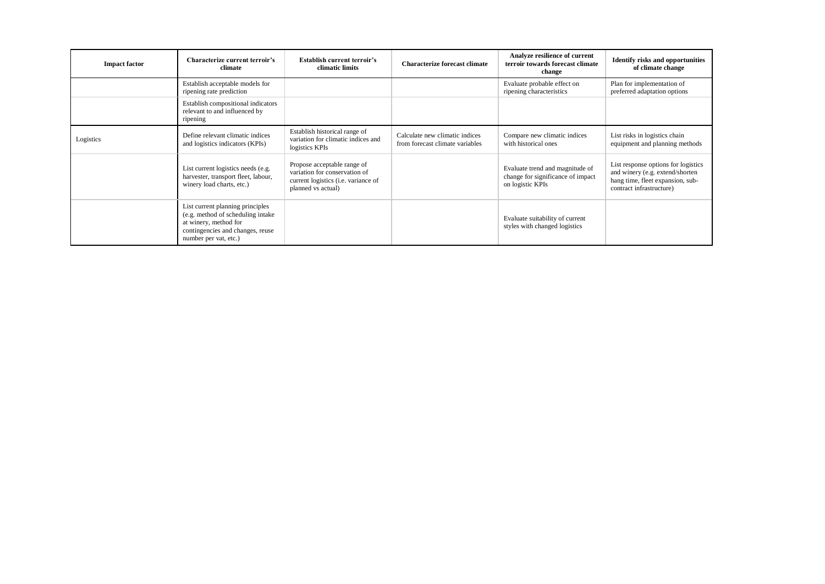| <b>Impact factor</b> | Characterize current terroir's<br>climate                                                                                                                    | <b>Establish current terroir's</b><br>climatic limits                                                                     | <b>Characterize forecast climate</b>                              | Analyze resilience of current<br>terroir towards forecast climate<br>change              | <b>Identify risks and opportunities</b><br>of climate change                                                                           |
|----------------------|--------------------------------------------------------------------------------------------------------------------------------------------------------------|---------------------------------------------------------------------------------------------------------------------------|-------------------------------------------------------------------|------------------------------------------------------------------------------------------|----------------------------------------------------------------------------------------------------------------------------------------|
|                      | Establish acceptable models for<br>ripening rate prediction                                                                                                  |                                                                                                                           |                                                                   | Evaluate probable effect on<br>ripening characteristics                                  | Plan for implementation of<br>preferred adaptation options                                                                             |
|                      | Establish compositional indicators<br>relevant to and influenced by<br>ripening                                                                              |                                                                                                                           |                                                                   |                                                                                          |                                                                                                                                        |
| Logistics            | Define relevant climatic indices<br>and logistics indicators (KPIs)                                                                                          | Establish historical range of<br>variation for climatic indices and<br>logistics KPIs                                     | Calculate new climatic indices<br>from forecast climate variables | Compare new climatic indices<br>with historical ones                                     | List risks in logistics chain<br>equipment and planning methods                                                                        |
|                      | List current logistics needs (e.g.<br>harvester, transport fleet, labour,<br>winery load charts, etc.)                                                       | Propose acceptable range of<br>variation for conservation of<br>current logistics (i.e. variance of<br>planned vs actual) |                                                                   | Evaluate trend and magnitude of<br>change for significance of impact<br>on logistic KPIs | List response options for logistics<br>and winery (e.g. extend/shorten<br>hang time, fleet expansion, sub-<br>contract infrastructure) |
|                      | List current planning principles<br>(e.g. method of scheduling intake)<br>at winery, method for<br>contingencies and changes, reuse<br>number per vat, etc.) |                                                                                                                           |                                                                   | Evaluate suitability of current<br>styles with changed logistics                         |                                                                                                                                        |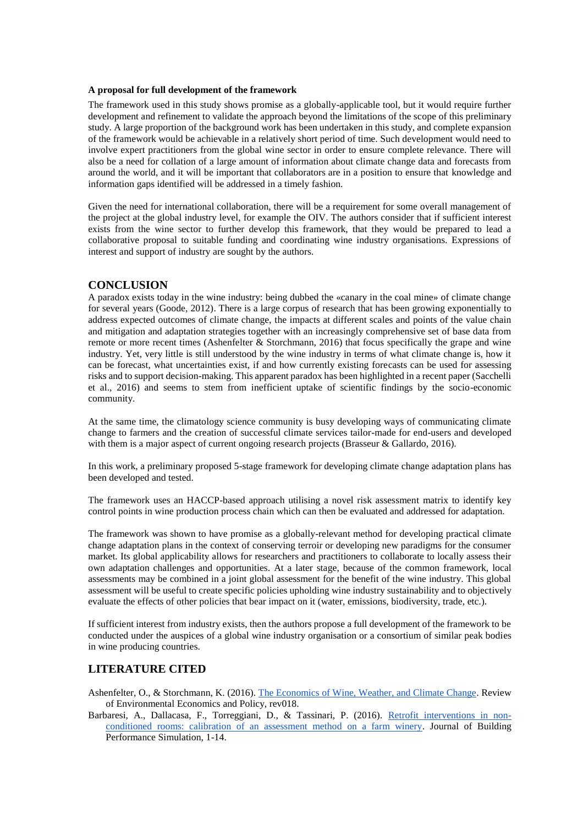#### **A proposal for full development of the framework**

The framework used in this study shows promise as a globally-applicable tool, but it would require further development and refinement to validate the approach beyond the limitations of the scope of this preliminary study. A large proportion of the background work has been undertaken in this study, and complete expansion of the framework would be achievable in a relatively short period of time. Such development would need to involve expert practitioners from the global wine sector in order to ensure complete relevance. There will also be a need for collation of a large amount of information about climate change data and forecasts from around the world, and it will be important that collaborators are in a position to ensure that knowledge and information gaps identified will be addressed in a timely fashion.

Given the need for international collaboration, there will be a requirement for some overall management of the project at the global industry level, for example the OIV. The authors consider that if sufficient interest exists from the wine sector to further develop this framework, that they would be prepared to lead a collaborative proposal to suitable funding and coordinating wine industry organisations. Expressions of interest and support of industry are sought by the authors.

#### **CONCLUSION**

A paradox exists today in the wine industry: being dubbed the «canary in the coal mine» of climate change for several years (Goode, 2012). There is a large corpus of research that has been growing exponentially to address expected outcomes of climate change, the impacts at different scales and points of the value chain and mitigation and adaptation strategies together with an increasingly comprehensive set of base data from remote or more recent times (Ashenfelter & Storchmann, 2016) that focus specifically the grape and wine industry. Yet, very little is still understood by the wine industry in terms of what climate change is, how it can be forecast, what uncertainties exist, if and how currently existing forecasts can be used for assessing risks and to support decision-making. This apparent paradox has been highlighted in a recent paper (Sacchelli et al., 2016) and seems to stem from inefficient uptake of scientific findings by the socio-economic community.

At the same time, the climatology science community is busy developing ways of communicating climate change to farmers and the creation of successful climate services tailor-made for end-users and developed with them is a major aspect of current ongoing research projects (Brasseur & Gallardo, 2016).

In this work, a preliminary proposed 5-stage framework for developing climate change adaptation plans has been developed and tested.

The framework uses an HACCP-based approach utilising a novel risk assessment matrix to identify key control points in wine production process chain which can then be evaluated and addressed for adaptation.

The framework was shown to have promise as a globally-relevant method for developing practical climate change adaptation plans in the context of conserving terroir or developing new paradigms for the consumer market. Its global applicability allows for researchers and practitioners to collaborate to locally assess their own adaptation challenges and opportunities. At a later stage, because of the common framework, local assessments may be combined in a joint global assessment for the benefit of the wine industry. This global assessment will be useful to create specific policies upholding wine industry sustainability and to objectively evaluate the effects of other policies that bear impact on it (water, emissions, biodiversity, trade, etc.).

If sufficient interest from industry exists, then the authors propose a full development of the framework to be conducted under the auspices of a global wine industry organisation or a consortium of similar peak bodies in wine producing countries.

# **LITERATURE CITED**

- Ashenfelter, O., & Storchmann, K. (2016)[. The Economics of Wine, Weather, and Climate Change.](http://reep.oxfordjournals.org/content/early/2016/01/07/reep.rev018.abstract) Review of Environmental Economics and Policy, rev018.
- Barbaresi, A., Dallacasa, F., Torreggiani, D., & Tassinari, P. (2016). [Retrofit interventions in non](http://www.tandfonline.com/doi/abs/10.1080/19401493.2016.1141994)[conditioned rooms: calibration of an assessment method on a farm winery.](http://www.tandfonline.com/doi/abs/10.1080/19401493.2016.1141994) Journal of Building Performance Simulation, 1-14.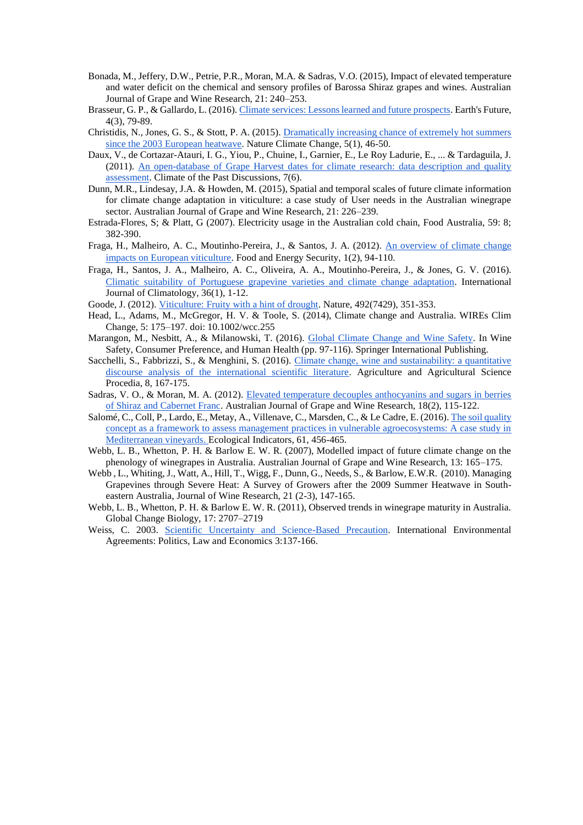- Bonada, M., Jeffery, D.W., Petrie, P.R., Moran, M.A. & Sadras, V.O. (2015), Impact of elevated temperature and water deficit on the chemical and sensory profiles of Barossa Shiraz grapes and wines. Australian Journal of Grape and Wine Research, 21: 240–253.
- Brasseur, G. P., & Gallardo, L. (2016)[. Climate services: Lessons learned and future prospects.](http://onlinelibrary.wiley.com/doi/10.1002/2015EF000338/pdf) Earth's Future, 4(3), 79-89.
- Christidis, N., Jones, G. S., & Stott, P. A. (2015). [Dramatically increasing chance of extremely hot summers](http://www.nature.com/nclimate/journal/v5/n1/full/nclimate2468.html)  [since the 2003 European heatwave.](http://www.nature.com/nclimate/journal/v5/n1/full/nclimate2468.html) Nature Climate Change, 5(1), 46-50.
- Daux, V., de Cortazar-Atauri, I. G., Yiou, P., Chuine, I., Garnier, E., Le Roy Ladurie, E., ... & Tardaguila, J. (2011). [An open-database of Grape Harvest dates for climate research: data description and quality](http://www.clim-past.net/8/1403/2012/cp-8-1403-2012.pdf)  [assessment.](http://www.clim-past.net/8/1403/2012/cp-8-1403-2012.pdf) Climate of the Past Discussions, 7(6).
- Dunn, M.R., Lindesay, J.A. & Howden, M. (2015), Spatial and temporal scales of future climate information for climate change adaptation in viticulture: a case study of User needs in the Australian winegrape sector. Australian Journal of Grape and Wine Research, 21: 226–239.
- Estrada-Flores, S; & Platt, G (2007). Electricity usage in the Australian cold chain, Food Australia, 59: 8; 382-390.
- Fraga, H., Malheiro, A. C., Moutinho-Pereira, J., & Santos, J. A. (2012). An overview of climate change [impacts on European viticulture.](http://www.advid.pt/gestao2/An_overview%20_of_climate_change.pdf) Food and Energy Security, 1(2), 94-110.
- Fraga, H., Santos, J. A., Malheiro, A. C., Oliveira, A. A., Moutinho‐Pereira, J., & Jones, G. V. (2016). [Climatic suitability of Portuguese grapevine varieties and climate change adaptation.](https://www.researchgate.net/profile/Helder_Fraga/publication/274407594_Climatic_suitability_of_Portuguese_grapevine_varieties_and_climate_change_adaptation/links/55224d9f0cf2f9c13052a4d2.pdf) International Journal of Climatology, 36(1), 1-12.
- Goode, J. (2012). [Viticulture: Fruity with a hint of drought.](http://www.nature.com/nature/journal/v492/n7429/full/492351a.html) Nature, 492(7429), 351-353.
- Head, L., Adams, M., McGregor, H. V. & Toole, S. (2014), Climate change and Australia. WIREs Clim Change, 5: 175–197. doi: 10.1002/wcc.255
- Marangon, M., Nesbitt, A., & Milanowski, T. (2016). [Global Climate Change and Wine Safety.](http://link.springer.com/chapter/10.1007/978-3-319-24514-0_5) In Wine Safety, Consumer Preference, and Human Health (pp. 97-116). Springer International Publishing.
- Sacchelli, S., Fabbrizzi, S., & Menghini, S. (2016). [Climate change, wine and sustainability: a quantitative](http://ac.els-cdn.com/S2210784316300900/1-s2.0-S2210784316300900-main.pdf?_tid=f91e5922-1a06-11e6-96a1-00000aacb362&acdnat=1463252973_edda5161e50338eabf7b7a7b6380fb94)  [discourse analysis of the international scientific literature.](http://ac.els-cdn.com/S2210784316300900/1-s2.0-S2210784316300900-main.pdf?_tid=f91e5922-1a06-11e6-96a1-00000aacb362&acdnat=1463252973_edda5161e50338eabf7b7a7b6380fb94) Agriculture and Agricultural Science Procedia, 8, 167-175.
- Sadras, V. O., & Moran, M. A. (2012). [Elevated temperature decouples anthocyanins and sugars in berries](https://www.researchgate.net/profile/Victor_Sadras/publication/230626085_Elevated_temperature_decouples_anthocyanins_and_sugars_in_berries_of_Shiraz_and_Cabernet_Franc/links/00b49525f42ea6f832000000.pdf)  [of Shiraz and Cabernet Franc.](https://www.researchgate.net/profile/Victor_Sadras/publication/230626085_Elevated_temperature_decouples_anthocyanins_and_sugars_in_berries_of_Shiraz_and_Cabernet_Franc/links/00b49525f42ea6f832000000.pdf) Australian Journal of Grape and Wine Research, 18(2), 115-122.
- Salomé, C., Coll, P., Lardo, E., Metay, A., Villenave, C., Marsden, C., & Le Cadre, E. (2016)[. The soil quality](http://www.sciencedirect.com/science/article/pii/S1470160X15005336)  [concept as a framework to assess management practices in vulnerable agroecosystems: A case study in](http://www.sciencedirect.com/science/article/pii/S1470160X15005336)  [Mediterranean vineyards. E](http://www.sciencedirect.com/science/article/pii/S1470160X15005336)cological Indicators, 61, 456-465.
- Webb, L. B., Whetton, P. H. & Barlow E. W. R. (2007), Modelled impact of future climate change on the phenology of winegrapes in Australia. Australian Journal of Grape and Wine Research, 13: 165–175.
- Webb , L., Whiting, J., Watt, A., Hill, T., Wigg, F., Dunn, G., Needs, S., & Barlow, E.W.R. (2010)[. Managing](http://www.tandfonline.com/doi/abs/10.1080/09571264.2010.530106)  [Grapevines through Severe Heat: A Survey of Growers after the 2009 Summer Heatwave in South](http://www.tandfonline.com/doi/abs/10.1080/09571264.2010.530106)[eastern Australia,](http://www.tandfonline.com/doi/abs/10.1080/09571264.2010.530106) [Journal of Wine Research, 2](http://www.tandfonline.com/toc/cjwr20/21/2-3)1 (2-3), 147-165.
- Webb, L. B., Whetton, P. H. & Barlow E. W. R. (2011), Observed trends in winegrape maturity in Australia. Global Change Biology, 17: 2707–2719
- Weiss, C. 2003. [Scientific Uncertainty and Science-Based Precaution.](http://link.springer.com/article/10.1023/A:1024847807590#/page-1) International Environmental Agreements: Politics, Law and Economics 3:137-166.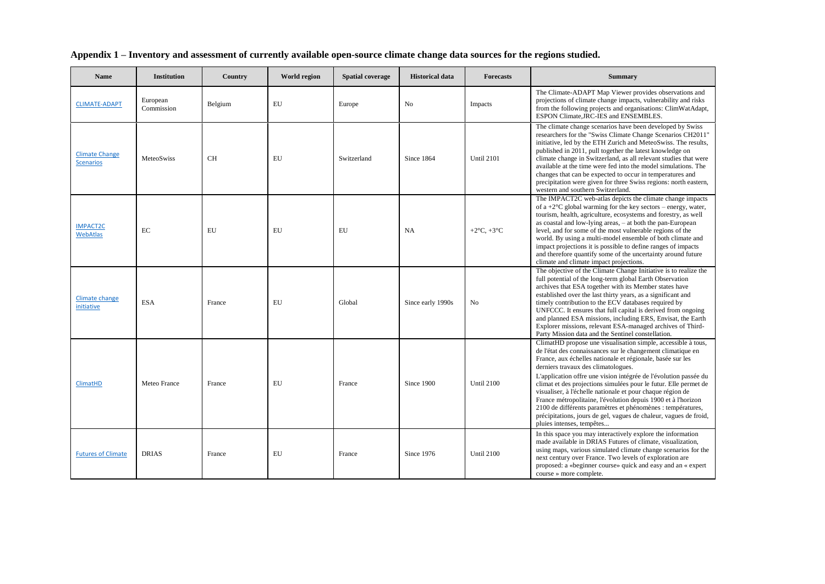| <b>Name</b>                               | <b>Institution</b>     | Country   | World region | <b>Spatial coverage</b> | <b>Historical data</b> | <b>Forecasts</b>  | <b>Summary</b>                                                                                                                                                                                                                                                                                                                                                                                                                                                                                                                                                                                                                                                            |
|-------------------------------------------|------------------------|-----------|--------------|-------------------------|------------------------|-------------------|---------------------------------------------------------------------------------------------------------------------------------------------------------------------------------------------------------------------------------------------------------------------------------------------------------------------------------------------------------------------------------------------------------------------------------------------------------------------------------------------------------------------------------------------------------------------------------------------------------------------------------------------------------------------------|
| <b>CLIMATE-ADAPT</b>                      | European<br>Commission | Belgium   | EU           | Europe                  | No                     | Impacts           | The Climate-ADAPT Map Viewer provides observations and<br>projections of climate change impacts, vulnerability and risks<br>from the following projects and organisations: ClimWatAdapt,<br>ESPON Climate, JRC-IES and ENSEMBLES.                                                                                                                                                                                                                                                                                                                                                                                                                                         |
| <b>Climate Change</b><br><b>Scenarios</b> | MeteoSwiss             | <b>CH</b> | EU           | Switzerland             | Since 1864             | <b>Until 2101</b> | The climate change scenarios have been developed by Swiss<br>researchers for the "Swiss Climate Change Scenarios CH2011"<br>initiative, led by the ETH Zurich and MeteoSwiss. The results,<br>published in 2011, pull together the latest knowledge on<br>climate change in Switzerland, as all relevant studies that were<br>available at the time were fed into the model simulations. The<br>changes that can be expected to occur in temperatures and<br>precipitation were given for three Swiss regions: north eastern,<br>western and southern Switzerland.                                                                                                        |
| <b>IMPACT2C</b><br><b>WebAtlas</b>        | EC                     | EU        | EU           | EU                      | NA                     | $+2$ °C, $+3$ °C  | The IMPACT2C web-atlas depicts the climate change impacts<br>of a +2 $^{\circ}$ C global warming for the key sectors – energy, water,<br>tourism, health, agriculture, ecosystems and forestry, as well<br>as coastal and low-lying areas, – at both the pan-European<br>level, and for some of the most vulnerable regions of the<br>world. By using a multi-model ensemble of both climate and<br>impact projections it is possible to define ranges of impacts<br>and therefore quantify some of the uncertainty around future<br>climate and climate impact projections.                                                                                              |
| <b>Climate change</b><br>initiative       | <b>ESA</b>             | France    | EU           | Global                  | Since early 1990s      | N <sub>o</sub>    | The objective of the Climate Change Initiative is to realize the<br>full potential of the long-term global Earth Observation<br>archives that ESA together with its Member states have<br>established over the last thirty years, as a significant and<br>timely contribution to the ECV databases required by<br>UNFCCC. It ensures that full capital is derived from ongoing<br>and planned ESA missions, including ERS, Envisat, the Earth<br>Explorer missions, relevant ESA-managed archives of Third-<br>Party Mission data and the Sentinel constellation.                                                                                                         |
| <b>ClimatHD</b>                           | Meteo France           | France    | EU           | France                  | Since 1900             | <b>Until 2100</b> | ClimatHD propose une visualisation simple, accessible à tous,<br>de l'état des connaissances sur le changement climatique en<br>France, aux échelles nationale et régionale, basée sur les<br>derniers travaux des climatologues.<br>L'application offre une vision intégrée de l'évolution passée du<br>climat et des projections simulées pour le futur. Elle permet de<br>visualiser, à l'échelle nationale et pour chaque région de<br>France métropolitaine, l'évolution depuis 1900 et à l'horizon<br>2100 de différents paramètres et phénomènes : températures,<br>précipitations, jours de gel, vagues de chaleur, vagues de froid,<br>pluies intenses, tempêtes |
| <b>Futures of Climate</b>                 | <b>DRIAS</b>           | France    | EU           | France                  | Since 1976             | <b>Until 2100</b> | In this space you may interactively explore the information<br>made available in DRIAS Futures of climate, visualization,<br>using maps, various simulated climate change scenarios for the<br>next century over France. Two levels of exploration are<br>proposed: a «beginner course» quick and easy and an « expert<br>course » more complete.                                                                                                                                                                                                                                                                                                                         |

# **Appendix 1 – Inventory and assessment of currently available open-source climate change data sources for the regions studied.**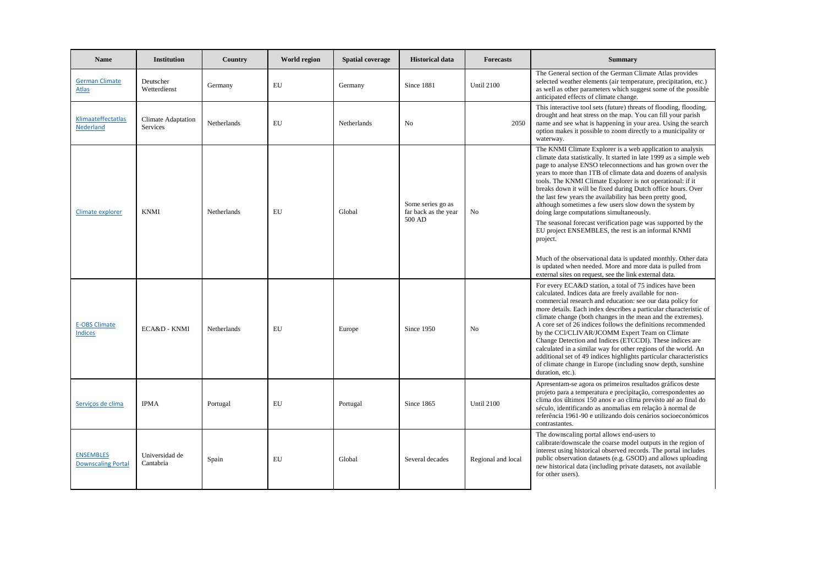| <b>Name</b>                                   | <b>Institution</b>                           | Country            | <b>World region</b> | <b>Spatial coverage</b> | <b>Historical data</b>                              | <b>Forecasts</b>   | <b>Summary</b>                                                                                                                                                                                                                                                                                                                                                                                                                                                                                                                                                                                                                                                                                                                                                                                                                                                                               |
|-----------------------------------------------|----------------------------------------------|--------------------|---------------------|-------------------------|-----------------------------------------------------|--------------------|----------------------------------------------------------------------------------------------------------------------------------------------------------------------------------------------------------------------------------------------------------------------------------------------------------------------------------------------------------------------------------------------------------------------------------------------------------------------------------------------------------------------------------------------------------------------------------------------------------------------------------------------------------------------------------------------------------------------------------------------------------------------------------------------------------------------------------------------------------------------------------------------|
| <b>German Climate</b><br><b>Atlas</b>         | Deutscher<br>Wetterdienst                    | Germany            | EU                  | Germany                 | Since 1881                                          | <b>Until 2100</b>  | The General section of the German Climate Atlas provides<br>selected weather elements (air temperature, precipitation, etc.)<br>as well as other parameters which suggest some of the possible<br>anticipated effects of climate change.                                                                                                                                                                                                                                                                                                                                                                                                                                                                                                                                                                                                                                                     |
| Klimaateffectatlas<br>Nederland               | <b>Climate Adaptation</b><br><b>Services</b> | <b>Netherlands</b> | EU                  | Netherlands             | No                                                  | 2050               | This interactive tool sets (future) threats of flooding, flooding,<br>drought and heat stress on the map. You can fill your parish<br>name and see what is happening in your area. Using the search<br>option makes it possible to zoom directly to a municipality or<br>waterway.                                                                                                                                                                                                                                                                                                                                                                                                                                                                                                                                                                                                           |
| Climate explorer                              | <b>KNMI</b>                                  | Netherlands        | EU                  | Global                  | Some series go as<br>far back as the year<br>500 AD | N <sub>o</sub>     | The KNMI Climate Explorer is a web application to analysis<br>climate data statistically. It started in late 1999 as a simple web<br>page to analyse ENSO teleconnections and has grown over the<br>years to more than 1TB of climate data and dozens of analysis<br>tools. The KNMI Climate Explorer is not operational: if it<br>breaks down it will be fixed during Dutch office hours. Over<br>the last few years the availability has been pretty good,<br>although sometimes a few users slow down the system by<br>doing large computations simultaneously.<br>The seasonal forecast verification page was supported by the<br>EU project ENSEMBLES, the rest is an informal KNMI<br>project.<br>Much of the observational data is updated monthly. Other data<br>is updated when needed. More and more data is pulled from<br>external sites on request, see the link external data. |
| <b>E-OBS Climate</b><br><b>Indices</b>        | ECA&D - KNMI                                 | <b>Netherlands</b> | EU                  | Europe                  | Since 1950                                          | No                 | For every ECA&D station, a total of 75 indices have been<br>calculated. Indices data are freely available for non-<br>commercial research and education: see our data policy for<br>more details. Each index describes a particular characteristic of<br>climate change (both changes in the mean and the extremes).<br>A core set of 26 indices follows the definitions recommended<br>by the CCl/CLIVAR/JCOMM Expert Team on Climate<br>Change Detection and Indices (ETCCDI). These indices are<br>calculated in a similar way for other regions of the world. An<br>additional set of 49 indices highlights particular characteristics<br>of climate change in Europe (including snow depth, sunshine<br>duration, etc.).                                                                                                                                                                |
| Servicos de clima                             | IPMA                                         | Portugal           | EU                  | Portugal                | Since 1865                                          | <b>Until 2100</b>  | Apresentam-se agora os primeiros resultados gráficos deste<br>projeto para a temperatura e precipitação, correspondentes ao<br>clima dos últimos 150 anos e ao clima previsto até ao final do<br>século, identificando as anomalias em relação à normal de<br>referência 1961-90 e utilizando dois cenários socioeconómicos<br>contrastantes.                                                                                                                                                                                                                                                                                                                                                                                                                                                                                                                                                |
| <b>ENSEMBLES</b><br><b>Downscaling Portal</b> | Universidad de<br>Cantabria                  | Spain              | EU                  | Global                  | Several decades                                     | Regional and local | The downscaling portal allows end-users to<br>calibrate/downscale the coarse model outputs in the region of<br>interest using historical observed records. The portal includes<br>public observation datasets (e.g. GSOD) and allows uploading<br>new historical data (including private datasets, not available<br>for other users).                                                                                                                                                                                                                                                                                                                                                                                                                                                                                                                                                        |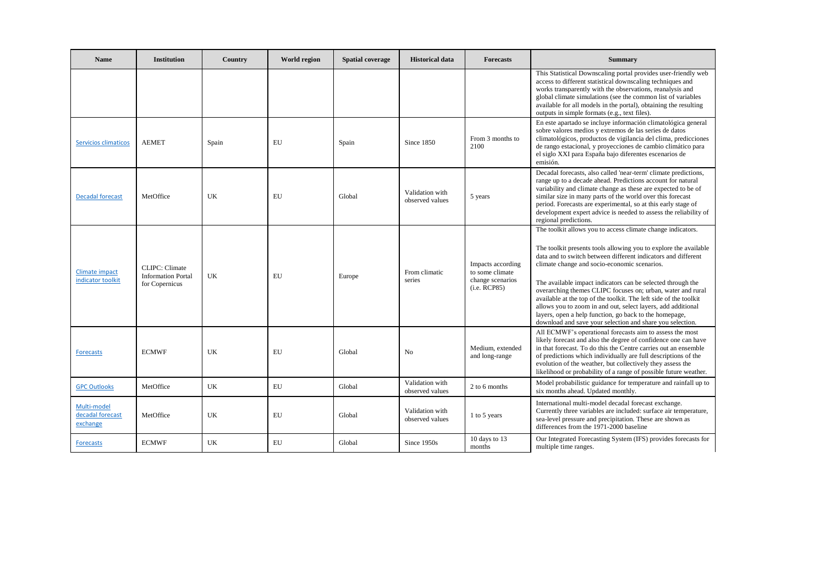| <b>Name</b>                                 | <b>Institution</b>                                                    | Country | <b>World region</b> | <b>Spatial coverage</b> | <b>Historical data</b>             | <b>Forecasts</b>                                                         | <b>Summary</b>                                                                                                                                                                                                                                                                                                                                                                                                                                                                                                                                                                                                                             |
|---------------------------------------------|-----------------------------------------------------------------------|---------|---------------------|-------------------------|------------------------------------|--------------------------------------------------------------------------|--------------------------------------------------------------------------------------------------------------------------------------------------------------------------------------------------------------------------------------------------------------------------------------------------------------------------------------------------------------------------------------------------------------------------------------------------------------------------------------------------------------------------------------------------------------------------------------------------------------------------------------------|
|                                             |                                                                       |         |                     |                         |                                    |                                                                          | This Statistical Downscaling portal provides user-friendly web<br>access to different statistical downscaling techniques and<br>works transparently with the observations, reanalysis and<br>global climate simulations (see the common list of variables<br>available for all models in the portal), obtaining the resulting<br>outputs in simple formats (e.g., text files).                                                                                                                                                                                                                                                             |
| <b>Servicios climaticos</b>                 | <b>AEMET</b>                                                          | Spain   | EU                  | Spain                   | Since 1850                         | From 3 months to<br>2100                                                 | En este apartado se incluye información climatológica general<br>sobre valores medios y extremos de las series de datos<br>climatológicos, productos de vigilancia del clima, predicciones<br>de rango estacional, y proyecciones de cambio climático para<br>el siglo XXI para España bajo diferentes escenarios de<br>emisión.                                                                                                                                                                                                                                                                                                           |
| <b>Decadal forecast</b>                     | MetOffice                                                             | UK      | EU                  | Global                  | Validation with<br>observed values | 5 years                                                                  | Decadal forecasts, also called 'near-term' climate predictions,<br>range up to a decade ahead. Predictions account for natural<br>variability and climate change as these are expected to be of<br>similar size in many parts of the world over this forecast<br>period. Forecasts are experimental, so at this early stage of<br>development expert advice is needed to assess the reliability of<br>regional predictions.                                                                                                                                                                                                                |
| Climate impact<br>indicator toolkit         | <b>CLIPC</b> : Climate<br><b>Information Portal</b><br>for Copernicus | UK      | EU                  | Europe                  | From climatic<br>series            | Impacts according<br>to some climate<br>change scenarios<br>(i.e. RCP85) | The toolkit allows you to access climate change indicators.<br>The toolkit presents tools allowing you to explore the available<br>data and to switch between different indicators and different<br>climate change and socio-economic scenarios.<br>The available impact indicators can be selected through the<br>overarching themes CLIPC focuses on; urban, water and rural<br>available at the top of the toolkit. The left side of the toolkit<br>allows you to zoom in and out, select layers, add additional<br>layers, open a help function, go back to the homepage,<br>download and save your selection and share you selection. |
| <b>Forecasts</b>                            | <b>ECMWF</b>                                                          | UK      | EU                  | Global                  | No                                 | Medium, extended<br>and long-range                                       | All ECMWF's operational forecasts aim to assess the most<br>likely forecast and also the degree of confidence one can have<br>in that forecast. To do this the Centre carries out an ensemble<br>of predictions which individually are full descriptions of the<br>evolution of the weather, but collectively they assess the<br>likelihood or probability of a range of possible future weather.                                                                                                                                                                                                                                          |
| <b>GPC Outlooks</b>                         | MetOffice                                                             | UK      | EU                  | Global                  | Validation with<br>observed values | 2 to 6 months                                                            | Model probabilistic guidance for temperature and rainfall up to<br>six months ahead. Updated monthly.                                                                                                                                                                                                                                                                                                                                                                                                                                                                                                                                      |
| Multi-model<br>decadal forecast<br>exchange | MetOffice                                                             | UK      | EU                  | Global                  | Validation with<br>observed values | 1 to 5 years                                                             | International multi-model decadal forecast exchange.<br>Currently three variables are included: surface air temperature,<br>sea-level pressure and precipitation. These are shown as<br>differences from the 1971-2000 baseline                                                                                                                                                                                                                                                                                                                                                                                                            |
| <b>Forecasts</b>                            | <b>ECMWF</b>                                                          | UK      | EU                  | Global                  | Since 1950s                        | 10 days to 13<br>months                                                  | Our Integrated Forecasting System (IFS) provides forecasts for<br>multiple time ranges.                                                                                                                                                                                                                                                                                                                                                                                                                                                                                                                                                    |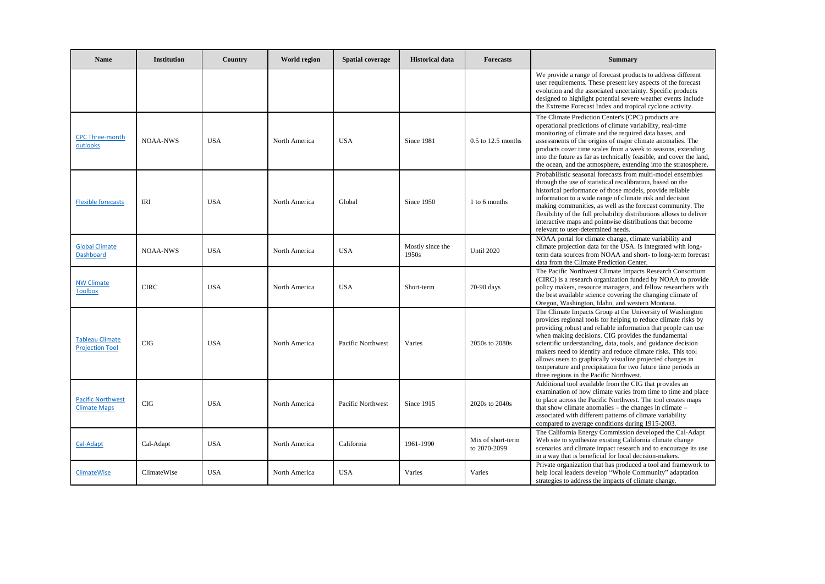| <b>Name</b>                                      | Institution     | Country    | World region  | <b>Spatial coverage</b> | <b>Historical data</b>    | <b>Forecasts</b>                  | <b>Summary</b>                                                                                                                                                                                                                                                                                                                                                                                                                                                                                                                                              |
|--------------------------------------------------|-----------------|------------|---------------|-------------------------|---------------------------|-----------------------------------|-------------------------------------------------------------------------------------------------------------------------------------------------------------------------------------------------------------------------------------------------------------------------------------------------------------------------------------------------------------------------------------------------------------------------------------------------------------------------------------------------------------------------------------------------------------|
|                                                  |                 |            |               |                         |                           |                                   | We provide a range of forecast products to address different<br>user requirements. These present key aspects of the forecast<br>evolution and the associated uncertainty. Specific products<br>designed to highlight potential severe weather events include<br>the Extreme Forecast Index and tropical cyclone activity.                                                                                                                                                                                                                                   |
| <b>CPC Three-month</b><br>outlooks               | <b>NOAA-NWS</b> | <b>USA</b> | North America | <b>USA</b>              | Since 1981                | $0.5$ to 12.5 months              | The Climate Prediction Center's (CPC) products are<br>operational predictions of climate variability, real-time<br>monitoring of climate and the required data bases, and<br>assessments of the origins of major climate anomalies. The<br>products cover time scales from a week to seasons, extending<br>into the future as far as technically feasible, and cover the land,<br>the ocean, and the atmosphere, extending into the stratosphere.                                                                                                           |
| <b>Flexible forecasts</b>                        | <b>IRI</b>      | <b>USA</b> | North America | Global                  | Since 1950                | 1 to 6 months                     | Probabilistic seasonal forecasts from multi-model ensembles<br>through the use of statistical recalibration, based on the<br>historical performance of those models, provide reliable<br>information to a wide range of climate risk and decision<br>making communities, as well as the forecast community. The<br>flexibility of the full probability distributions allows to deliver<br>interactive maps and pointwise distributions that become<br>relevant to user-determined needs.                                                                    |
| <b>Global Climate</b><br><b>Dashboard</b>        | <b>NOAA-NWS</b> | <b>USA</b> | North America | <b>USA</b>              | Mostly since the<br>1950s | <b>Until 2020</b>                 | NOAA portal for climate change, climate variability and<br>climate projection data for the USA. Is integrated with long-<br>term data sources from NOAA and short- to long-term forecast<br>data from the Climate Prediction Center.                                                                                                                                                                                                                                                                                                                        |
| <b>NW Climate</b><br><b>Toolbox</b>              | <b>CIRC</b>     | <b>USA</b> | North America | <b>USA</b>              | Short-term                | 70-90 days                        | The Pacific Northwest Climate Impacts Research Consortium<br>(CIRC) is a research organization funded by NOAA to provide<br>policy makers, resource managers, and fellow researchers with<br>the best available science covering the changing climate of<br>Oregon, Washington, Idaho, and western Montana.                                                                                                                                                                                                                                                 |
| <b>Tableau Climate</b><br><b>Projection Tool</b> | CIG             | <b>USA</b> | North America | Pacific Northwest       | Varies                    | 2050s to 2080s                    | The Climate Impacts Group at the University of Washington<br>provides regional tools for helping to reduce climate risks by<br>providing robust and reliable information that people can use<br>when making decisions. CIG provides the fundamental<br>scientific understanding, data, tools, and guidance decision<br>makers need to identify and reduce climate risks. This tool<br>allows users to graphically visualize projected changes in<br>temperature and precipitation for two future time periods in<br>three regions in the Pacific Northwest. |
| <b>Pacific Northwest</b><br><b>Climate Maps</b>  | CIG             | <b>USA</b> | North America | Pacific Northwest       | Since 1915                | 2020s to 2040s                    | Additional tool available from the CIG that provides an<br>examination of how climate varies from time to time and place<br>to place across the Pacific Northwest. The tool creates maps<br>that show climate anomalies $-$ the changes in climate $-$<br>associated with different patterns of climate variability<br>compared to average conditions during 1915-2003.                                                                                                                                                                                     |
| Cal-Adapt                                        | Cal-Adapt       | <b>USA</b> | North America | California              | 1961-1990                 | Mix of short-term<br>to 2070-2099 | The California Energy Commission developed the Cal-Adapt<br>Web site to synthesize existing California climate change<br>scenarios and climate impact research and to encourage its use<br>in a way that is beneficial for local decision-makers.                                                                                                                                                                                                                                                                                                           |
| <b>ClimateWise</b>                               | ClimateWise     | <b>USA</b> | North America | <b>USA</b>              | Varies                    | Varies                            | Private organization that has produced a tool and framework to<br>help local leaders develop "Whole Community" adaptation<br>strategies to address the impacts of climate change.                                                                                                                                                                                                                                                                                                                                                                           |